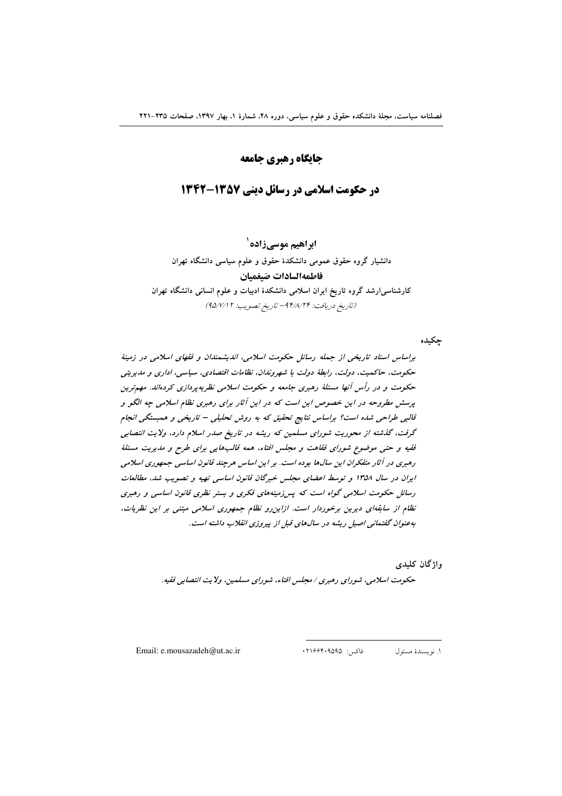# جايگاه رهبري جامعه

# در حکومت اسلامی در رسائل دینی ۱۳۵۷-۱۳۴۲

ابراهیم موسے زادہ `

دانشیار گروه حقوق عمومی دانشکدهٔ حقوق و علوم سیاسی دانشگاه تهران فاطمهالسادات ضيغميان کارشناسی|رشد گروه تاریخ ایران اسلامی دانشکدهٔ ادبیات و علوم انسانی دانشگاه تهران

(تاريخ دريافت: ٩۴/٨/٢۴ - تاريخ تصويب: ٩٥/٧/١٢)

جكيده

براساس اسناد تاریخی از جمله رسائل حکومت اسلامی، اندیشمندان و فقهای اسلامی در زمینهٔ حکومت، حاکمیت، دولت، رابطهٔ دولت با شهروندان، نظامات اقتصادی، سیاسی، اداری و مدیریتی حکومت و در رأس آنها مسئلهٔ رهبری جامعه و حکومت اسلامی نظریهپردازی کردهاند. مهمترین پرسش مطروحه در این خصوص این است که در این آثار برای رهبری نظام اسلامی چه الگو و قالبی طراحی شده است؟ براساس نتایج تحقیق که به روش تحلیلی – تاریخی و همبستگی انجام گرفت، گذشته از محوریت شورای مسلمین که ریشه در تاریخ صدر اسلام دارد، ولایت انتصابی ققیه و حتبی موضوع شورای فقاهت و مجلس افتاء، همه قالبهایی برای طرح و مدیریت مسئلهٔ رهبری در آثار متفکران این سالها بوده است. بر این اساس هرچند قانون اساسی جمهوری اسلامی ایران در سال ۱۳۵۸ و توسط اعضای مجلس خبرگان قانون اساسی تهیه و تصویب شد. مطالعات رسائل حکومت اسلامی گواه است که پس زمینههای فکری و بستر نظری قانون اساسی و رهبری نظام از سابقهای دیرین برخوردار است. ازاین رو نظام جمهوری اسلامی مبتنی بر این نظریات، به عنوان گفتهانی اصیل ریشه در سال های قبل از پیروزی انقلاب داشته است.

واژگان کلیدی

حکومت اسلامی، شورای رهبری / مجلس افتاء، شورای مسلمین، ولایت انتصابی فقیه.

Email: e.mousazadeh@ut.ac.ir

فاكس: ١٢١۶۶۴٠٩۵٩۵ ١. نويسندة مسئول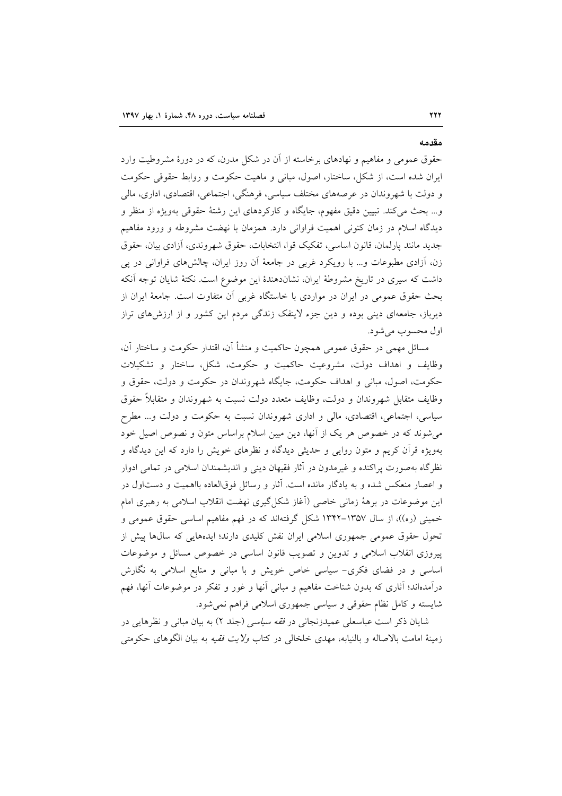#### مقدمه

**777** 

حقوق عمومی و مفاهیم و نهادهای برخاسته از آن در شکل مدرن، که در دورهٔ مشروطیت وارد ایران شده است، از شکل، ساختار، اصول، مبانی و ماهیت حکومت و روابط حقوقی حکومت و دولت با شهروندان در عرصههای مختلف سیاسی، فرهنگی، اجتماعی، اقتصادی، اداری، مالی و... بحث مي كند. تبيين دقيق مفهوم، جايگاه و كاركردهاي اين رشتهٔ حقوقي بهويژه از منظر و دیدگاه اسلام در زمان کنونی اهمیت فراوانی دارد. همزمان با نهضت مشروطه و ورود مفاهیم جديد مانند پارلمان، قانون اساسي، تفكيك قوا، انتخابات، حقوق شهروندي، أزادي بيان، حقوق زن، آزادی مطبوعات و… با رویکرد غربی در جامعهٔ آن روز ایران، چالشهای فراوانی در پی داشت که سیری در تاریخ مشروطهٔ ایران، نشاندهندهٔ این موضوع است. نکتهٔ شایان توجه آنکه بحث حقوق عمومی در ایران در مواردی با خاستگاه غربی آن متفاوت است. جامعهٔ ایران از دیرباز، جامعهای دینی بوده و دین جزء لاینفک زندگی مردم این کشور و از ارزش های تراز اول محسوب می شود.

مسائل مهمی در حقوق عمومی همچون حاکمیت و منشأ آن، اقتدار حکومت و ساختار آن، وظایف و اهداف دولت، مشروعیت حاکمیت و حکومت، شکل، ساختار و تشکیلات حکومت، اصول، مبانی و اهداف حکومت، جایگاه شهروندان در حکومت و دولت، حقوق و وظايف متقابل شهروندان و دولت، وظايف متعدد دولت نسبت به شهروندان و متقابلاً حقوق سیاسی، اجتماعی، اقتصادی، مالی و اداری شهروندان نسبت به حکومت و دولت و... مطرح می شوند که در خصوص هر یک از آنها، دین مبین اسلام براساس متون و نصوص اصیل خود بهویژه قرآن کریم و متون روایی و حدیثی دیدگاه و نظرهای خویش را دارد که این دیدگاه و نظر گاه بهصورت پراکنده و غیرمدون در آثار فقیهان دینی و اندیشمندان اسلامی در تمامی ادوار و اعصار منعکس شده و به یادگار مانده است. آثار و رسائل فوقالعاده بااهمیت و دستاول در این موضوعات در برههٔ زمانی خاصی (أغاز شکل گیری نهضت انقلاب اسلامی به رهبری امام خمینی (ره))، از سال ۱۳۵۷–۱۳۴۲ شکل گرفتهاند که در فهم مفاهیم اساسی حقوق عمومی و تحول حقوق عمومی جمهوری اسلامی ایران نقش کلیدی دارند؛ ایدههایی که سالها پیش از پیروزی انقلاب اسلامی و تدوین و تصویب قانون اساسی در خصوص مسائل و موضوعات اساسی و در فضای فکری– سیاسی خاص خویش و با مبانی و منابع اسلامی به نگارش درآمدهاند؛ آثاری که بدون شناخت مفاهیم و مبانی آنها و غور و تفکر در موضوعات آنها، فهم شايسته و كامل نظام حقوقي و سياسي جمهوري اسلامي فراهم نمي شود.

شایان ذکر است عباسعلی عمیدزنجانی در *فقه سیاسی (جلد* ۲) به بیان مبانی و نظرهایی در زمینهٔ امامت بالاصاله و بالنیابه، مهدی خلخالی در کتاب *ولایت فقیه* به بیان الگوهای حکومتی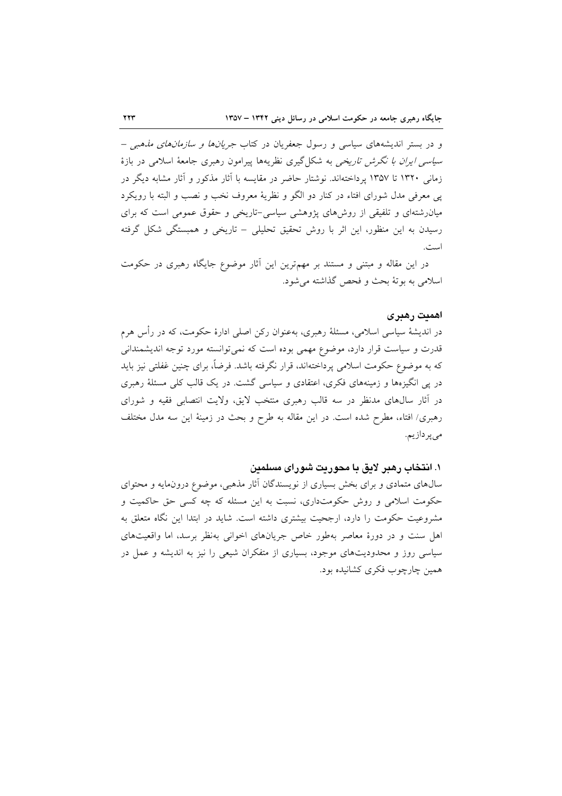و در بستر اندیشههای سیاسی و رسول جعفریان در کتاب *جریانها و سازمانهای مذهبی* – *سیاسی ایران با نگرش تاریخی* به شکل گیری نظریهها پیرامون رهبری جامعهٔ اسلامی در بازهٔ زمانی ۱۳۲۰ تا ۱۳۵۷ پرداختهاند. نوشتار حاضر در مقایسه با آثار مذکور و آثار مشابه دیگر در یی معرفی مدل شورای افتاء در کنار دو الگو و نظریهٔ معروف نخب و نصب و البته با رویکرد میان رشتهای و تلفیقی از روش های پژوهشی سیاسی-تاریخی و حقوق عمومی است که برای رسیدن به این منظور، این اثر با روش تحقیق تحلیلی – تاریخی و همبستگی شکل گرفته است.

در این مقاله و مبتنی و مستند بر مهمترین این آثار موضوع جایگاه رهبری در حکومت اسلامي به بوتهٔ بحث و فحص گذاشته مي شود.

#### اهميت رهبرى

در اندیشهٔ سیاسی اسلامی، مسئلهٔ رهبری، بهعنوان رکن اصلی ادارهٔ حکومت، که در رأس هرم قدرت و سیاست قرار دارد، موضوع مهمی بوده است که نمی توانسته مورد توجه اندیشمندانی که به موضوع حکومت اسلامی پرداختهاند، قرار نگرفته باشد. فرضاً، برای چنین غفلتی نیز باید در پی انگیزهها و زمینههای فکری، اعتقادی و سیاسی گشت. در یک قالب کلی مسئلهٔ رهبری در آثار سالهای مدنظر در سه قالب رهبری منتخب لایق، ولایت انتصابی فقیه و شورای رهبری/ افتاء، مطرح شده است. در این مقاله به طرح و بحث در زمینهٔ این سه مدل مختلف مىپردازيم.

## ۱. انتخاب رهبر لايق با محوريت شوراي مسلمين

سال های متمادی و برای بخش بسیاری از نویسندگان آثار مذهبی، موضوع درونمایه و محتوای حکومت اسلامی و روش حکومتداری، نسبت به این مسئله که چه کسی حق حاکمیت و مشروعیت حکومت را دارد، ارجحیت بیشتری داشته است. شاید در ابتدا این نگاه متعلق به اهل سنت و در دورهٔ معاصر بهطور خاص جریانهای اخوانی بهنظر برسد، اما واقعیتهای سیاسی روز و محدودیتهای موجود، بسیاری از متفکران شیعی را نیز به اندیشه و عمل در همین چارچوب فکری کشانیده بود.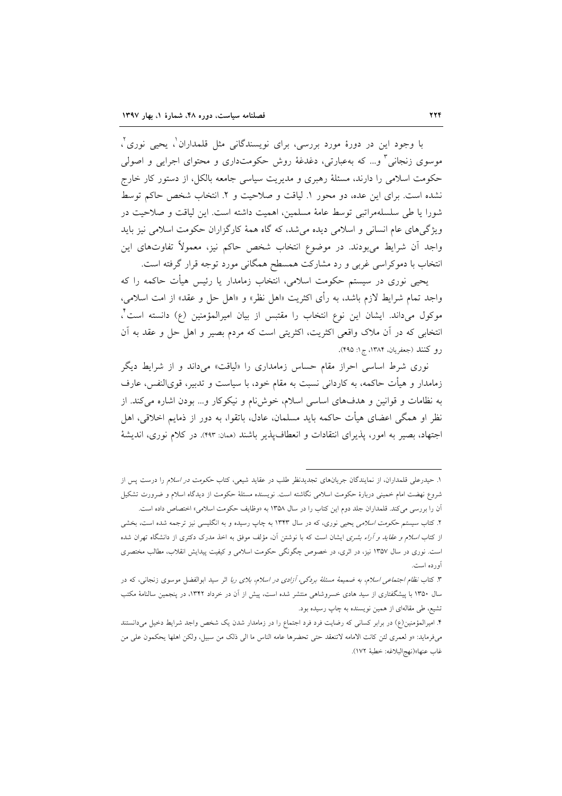با وجود این در دورهٔ مورد بررسی، برای نویسندگانی مثل قلمداران`، یحیی نوری`، موسوی زنجانی ؓ و… که بهعبارتی، دغدغهٔ روش حکومتداری و محتوای اجرایی و اصولی حکومت اسلامی را دارند، مسئلهٔ رهبری و مدیریت سیاسی جامعه بالکل، از دستور کار خارج نشده است. برای این عده، دو محور ۱. لیاقت و صلاحیت و ۲. انتخاب شخص حاکم توسط شورا يا طي سلسلهمراتبي توسط عامهٔ مسلمين، اهميت داشته است. اين لياقت و صلاحيت در ویژگیهای عام انسانی و اسلامی دیده می شد، که گاه همهٔ کارگزاران حکومت اسلامی نیز باید واجد أن شرايط مىبودند. در موضوع انتخاب شخص حاكم نيز، معمولاً تفاوتهاى اين انتخاب با دموکراسی غربی و رد مشارکت همسطح همگانی مورد توجه قرار گرفته است.

یحیی نوری در سیستم حکومت اسلامی، انتخاب زمامدار یا رئیس هیأت حاکمه را که واجد تمام شرايط لازم باشد، به رأى اكثريت «اهل نظر» و «اهل حل و عقد» از امت اسلامى، موكول مىداند. ايشان اين نوع انتخاب را مقتبس از بيان اميرالمؤمنين (ع) دانسته است ً، انتخابی که در أن ملاک واقعی اکثریت، اکثریتی است که مردم بصیر و اهل حل و عقد به أن رو كنند (جعفريان، ١٣٨۴، ج١: ۴۹۵).

نوری شرط اساسی احراز مقام حساس زمامداری را «لیاقت» میداند و از شرایط دیگر زمامدار و هیأت حاکمه، به کاردانی نسبت به مقام خود، با سیاست و تدبیر، قویالنفس، عارف به نظامات و قوانین و هدفهای اساسی اسلام، خوشiام و نیکوکار و... بودن اشاره می کند. از نظر او همگی اعضای هیأت حاکمه باید مسلمان، عادل، باتقوا، به دور از ذمایم اخلاقی، اهل اجتهاد، بصیر به امور، پذیرای انتقادات و انعطاف پذیر باشند (ممان: ۴۹۳). در کلام نوری، اندیشهٔ

۱. حیدرعلی قلمداران، از نمایندگان جریانهای تجدیدنظر طلب در عقاید شیعی، کتاب ح*کومت در اسلام را درست پس از* شروع نهضت امام خمینی دربارهٔ حکومت اسلامی نگاشته است. نویسنده مسئلهٔ حکومت از دیدگاه اسلام و ضرورت تشکیل اّن را بررسی میکند. قلمداران جلد دوم این کتاب را در سال ۱۳۵۸ به «وظایف حکومت اسلامی» اختصاص داده است.

۲. کتاب سیستم ح*کومت اسلامی* یحیی نوری، که در سال ۱۳۴۳ به چاپ رسیده و به انگلیسی نیز ترجمه شده است، بخشی از کتاب *اسلام و عقاید و آراء بشری* ایشان است که با نوشتن آن، مؤلف موفق به اخذ مدرک دکتری از دانشگاه تهران شده است. نوری در سال ۱۳۵۷ نیز، در اثری، در خصوص چگونگی حکومت اسلامی و کیفیت پیدایش انقلاب، مطالب مختصری آورده است.

۳. کتاب *نظام اجتماعی اسلام، به ضمیمهٔ مسئلهٔ بردگی، آزادی در اسلام، بلای ربا* اثر سید ابوالفضل موسوی زنجانی، که در سال ۱۳۵۰ با پیشگفتاری از سید هادی خسروشاهی منتشر شده است، پیش از آن در خرداد ۱۳۴۲، در پنجمین سالنامهٔ مکتب تشیع، طی مقالهای از همین نویسنده به چاپ رسیده بود.

۴. امیرالمؤمنین(ع) در برابر کسانی که رضایت فرد فرد اجتماع را در زمامدار شدن یک شخص واجد شرایط دخیل میدانستند مىفرمايد: «و لعمرى لئن كانت الامامه لاتنعقد حتى تحضرها عامه الناس ما الى ذلك من سبيل، ولكن اهلها يحكمون على من غاب عنها»(نهج|لبلاغه: خطبهٔ ١٧٢).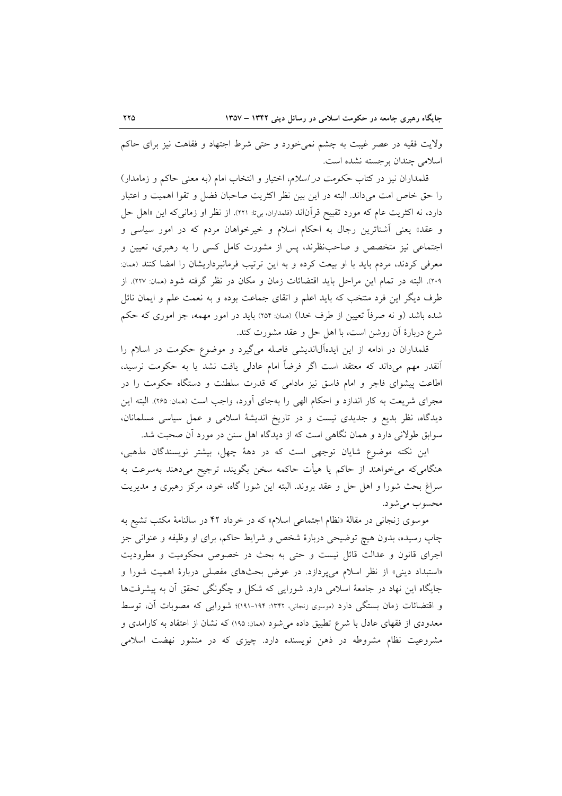ولايت فقيه در عصر غيبت به چشم نمي خورد و حتى شرط اجتهاد و فقاهت نيز براى حاكم اسلامی چندان برجسته نشده است.

قلمداران نیز در کتاب *حکومت در اسلام*، اختیار و انتخاب امام (به معنی حاکم و زمامدار) را حق خاص امت میداند. البته در این بین نظر اکثریت صاحبان فضل و تقوا اهمیت و اعتبار دارد، نه اکثریت عام که مورد تقبیح قرآناند (قلمداران، بی:ا: ۲۲۱). از نظر او زمانی که این «اهل حل و عقد» یعنی آشناترین رجال به احکام اسلام و خیرخواهان مردم که در امور سیاسی و اجتماعی نیز متخصص و صاحب ظرند، پس از مشورت کامل کسی را به رهبری، تعیین و معرفی کردند، مردم باید با او بیعت کرده و به این ترتیب فرمانبرداریشان را امضا کنند (ممان: ۲۰۹). البته در تمام این مراحل باید اقتضائات زمان و مکان در نظر گرفته شود (ممان: ۲۲۷). از طرف دیگر این فرد منتخب که باید اعلم و اتقای جماعت بوده و به نعمت علم و ایمان نائل شده باشد (و نه صرفاً تعیین از طرف خدا) (ممان: ۲۵۴) باید در امور مهمه، جز اموری که حکم شرع دربارهٔ أن روشن است، با اهل حل و عقد مشورت کند.

قلمداران در ادامه از این ایدهآلااندیشی فاصله میگیرد و موضوع حکومت در اسلام را اّنقدر مهم میداند که معتقد است اگر فرضاً امام عادلی یافت نشد یا به حکومت نرسید، اطاعت پیشوای فاجر و امام فاسق نیز مادامی که قدرت سلطنت و دستگاه حکومت را در مجرای شریعت به کار اندازد و احکام الهی را بهجای آورد، واجب است (ممان: ۲۶۵). البته این دیدگاه، نظر بدیع و جدیدی نیست و در تاریخ اندیشهٔ اسلامی و عمل سیاسی مسلمانان، سوابق طولانی دارد و همان نگاهی است که از دیدگاه اهل سنن در مورد آن صحبت شد.

این نکته موضوع شایان توجهی است که در دههٔ چهل، بیشتر نویسندگان مذهبی، هنگامی۵که میخواهند از حاکم یا هیأت حاکمه سخن بگویند، ترجیح میدهند بهسرعت به سراغ بحث شورا و اهل حل و عقد بروند. البته این شورا گاه، خود، مرکز رهبری و مدیریت محسوب مي شود.

موسوی زنجانی در مقالهٔ «نظام اجتماعی اسلام» که در خرداد ۴۲ در سالنامهٔ مکتب تشیع به چاپ رسیده، بدون هیچ توضیحی دربارهٔ شخص و شرایط حاکم، برای او وظیفه و عنوانی جز اجرای قانون و عدالت قائل نیست و حتی به بحث در خصوص محکومیت و مطرودیت «استبداد دینی» از نظر اسلام میپردازد. در عوض بحثهای مفصلی دربارهٔ اهمیت شورا و جایگاه این نهاد در جامعهٔ اسلامی دارد. شورایی که شکل و چگونگی تحقق آن به پیشرفتها و اقتضائات زمان بستگی دارد (موسوی زنجانی، ۱۳۴۲: ۱۹۴-۱۹۱)؛ شورایی که مصوبات آن، توسط معدودی از فقهای عادل با شرع تطبیق داده میشود (ممان: ۱۹۵) که نشان از اعتقاد به کارامدی و مشروعیت نظام مشروطه در ذهن نویسنده دارد. چیزی که در منشور نهضت اسلامی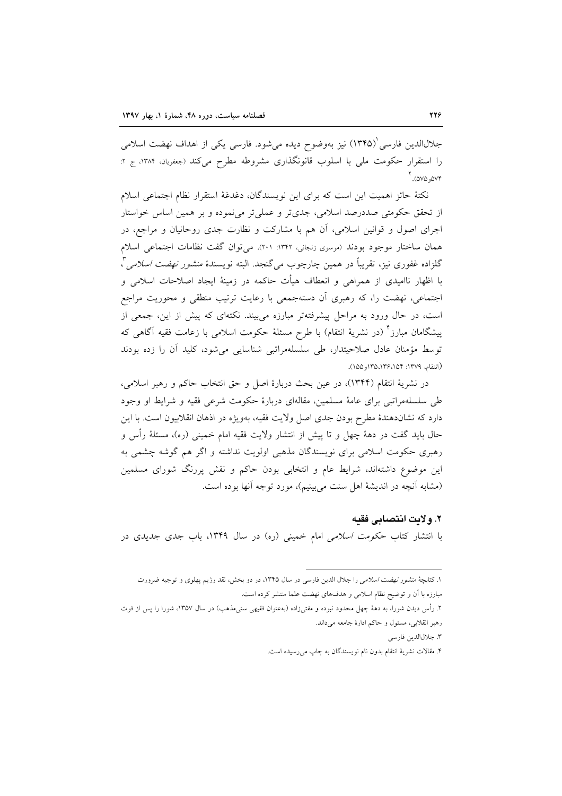جلالالدین فارسی (۱۳۴۵) نیز بهوضوح دیده میشود. فارسی یکی از اهداف نهضت اسلامی را استقرار حکومت ملي با اسلوب قانونگذاري مشروطه مطرح مي کند (جعفريان، ١٣٨۴، ج ٢: ۵۷۵، ۷۵۵). <sup>۲</sup>

نكتهٔ حائز اهميت اين است كه براي اين نويسندگان، دغدغهٔ استقرار نظام اجتماعي اسلام از تحقق حکومتی صددرصد اسلامی، جدیتر و عملیتر مینموده و بر همین اساس خواستار اجرای اصول و قوانین اسلامی، آن هم با مشارکت و نظارت جدی روحانیان و مراجع، در همان ساختار موجود بودند (موسوى زنجاني، ١٣۴٢: ٢٠١). مي توان گفت نظامات اجتماعي اسلام گلزاده غفوري نيز، تقريباً در همين چارچوب *مي گ*نجد. البته نويسندهٔ *منشور نهضت اسلامي "،* با اظهار ناامیدی از همراهی و انعطاف هیأت حاکمه در زمینهٔ ایجاد اصلاحات اسلامی و اجتماعی، نهضت را، که رهبری آن دستهجمعی با رعایت ترتیب منطقی و محوریت مراجع است، در حال ورود به مراحل پیشرفتهتر مبارزه می بیند. نکتهای که پیش از این، جمعی از پیشگامان مبارز ْ (در نشریهٔ انتقام) با طرح مسئلهٔ حکومت اسلامی با زعامت فقیه آگاهی که توسط مؤمنان عادل صلاحیتدار، طی سلسلهمراتبی شناسایی میشود، کلید آن را زده بودند (انتقام، ١٣٧٩: ١٥٢، ١٣٥،١٣٥، ١٥٥).

در نشريهٔ انتقام (١٣۴۴)، در عين بحث دربارهٔ اصل و حق انتخاب حاكم و رهبر اسلامي، طی سلسلهمراتبی برای عامهٔ مسلمین، مقالهای دربارهٔ حکومت شرعی فقیه و شرایط او وجود دارد که نشاندهندهٔ مطرح بودن جدی اصل ولایت فقیه، بهویژه در اذهان انقلابیون است. با این حال باید گفت در دههٔ چهل و تا پیش از انتشار ولایت فقیه امام خمینی (ره)، مسئلهٔ رأس و رهبری حکومت اسلامی برای نویسندگان مذهبی اولویت نداشته و اگر هم گوشه چشمی به این موضوع داشتهاند، شرایط عام و انتخابی بودن حاکم و نقش پررنگ شورای مسلمین (مشابه آنچه در اندیشهٔ اهل سنت میبینیم)، مورد توجه آنها بوده است.

٢. ولايت انتصابي فقيه با انتشار کتاب ح*کومت اسلامی* امام خمینی (ره) در سال ۱۳۴۹، باب جدی جدیدی در

١. كتابچهٔ منشور نهضت اسلامى را جلال الدين فارسى در سال ١٣۴۵، در دو بخش، نقد رژيم پهلوى و توجيه ضرورت مبارزه با آن و توضیح نظام اسلامی و هدفهای نهضت علما منتشر کرده است.

۲. رأس ديدن شورا، به دههٔ چهل محدود نبوده و مفتىزاده (بهعنوان فقيهى سنىمذهب) در سال ۱۳۵۷، شورا را پس از فوت رهبر انقلابی، مسئول و حاکم ادارهٔ جامعه میداند.

٣. جلال الدين فارسي

۴. مقالات نشريهٔ انتقام بدون نام نويسندگان به چاپ مىرسيده است.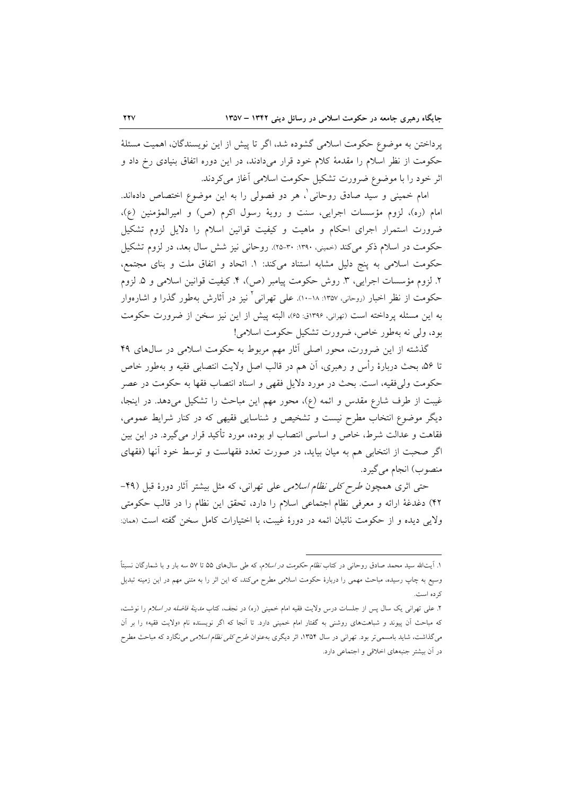پرداختن به موضوع حکومت اسلامی گشوده شد، اگر تا پیش از این نویسندگان، اهمیت مسئلهٔ حکومت از نظر اسلام را مقدمهٔ کلام خود قرار میدادند، در این دوره اتفاق بنیادی رخ داد و اثر خود را با موضوع ضرورت تشکیل حکومت اسلامی آغاز میکردند.

امام خمینی و سید صادق روحانی <sup>۱</sup>، هر دو فصولی را به این موضوع اختصاص داد<sub>ا</sub>ند. امام (ره)، لزوم مؤسسات اجرايي، سنت و رويهٔ رسول اكرم (ص) و اميرالمؤمنين (ع)، ضرورت استمرار اجرای احکام و ماهیت و کیفیت قوانین اسلام را دلایل لزوم تشکیل حکومت در اسلام ذکر می کند (خمینی، ۱۳۹۰: ۳۰-۲۵). روحانی نیز شش سال بعد، در لزوم تشکیل حکومت اسلامی به پنج دلیل مشابه استناد میکند: ١. اتحاد و اتفاق ملت و بنای مجتمع، ۲. لزوم مؤسسات اجرایی، ۳. روش حکومت پیامبر (ص)، ۴. کیفیت قوانین اسلامی و ۵. لزوم حکومت از نظر اخبار (روحانی، ۱۳۵۷: ۱۸-۱۰). علی تهرانی <sup>۲</sup> نیز در آثارش بهطور گذرا و اشارهوار به این مسئله یرداخته است (تهرانی، ۱۳۹۶ق: ۶۵)، البته پیش از این نیز سخن از ضرورت حکومت بود، ولي نه بهطور خاص، ضرورت تشكيل حكومت اسلامي!

گذشته از این ضرورت، محور اصلی آثار مهم مربوط به حکومت اسلامی در سال های ۴۹ تا ۵۶، بحث دربارهٔ رأس و رهبری، آن هم در قالب اصل ولایت انتصابی فقیه و بهطور خاص حکومت ولی فقیه، است. بحث در مورد دلایل فقهی و اسناد انتصاب فقها به حکومت در عصر غیبت از طرف شارع مقدس و ائمه (ع)، محور مهم این مباحث را تشکیل میدهد. در اینجا، دیگر موضوع انتخاب مطرح نیست و تشخیص و شناسایی فقیهی که در کنار شرایط عمومی، فقاهت و عدالت شرط، خاص و اساسی انتصاب او بوده، مورد تأکید قرار می گیرد. در این بین اگر صحبت از انتخابی هم به میان بیاید، در صورت تعدد فقهاست و توسط خود آنها (فقهای منصوب) انجام مي گيرد.

حتی اثری همچون *طرح کلی نظام اسلامی ع*لی تهرانی، که مثل بیشتر آثار دورهٔ قبل (۴۹-۴۲) دغدغهٔ ارائه و معرفی نظام اجتماعی اسلام را دارد، تحقق این نظام را در قالب حکومتی ولايي ديده و از حكومت نائبان ائمه در دورهٔ غيبت، با اختيارات كامل سخن گفته است (ممان:

۱. اّیتالله سید محمد صادق روحانی در کتاب *نظام حکومت در اسلام،* که طی سالهای ۵۵ تا ۵۷ سه بار و با شمارگان نسبتاً وسیع به چاپ رسیده، مباحث مهمی را دربارهٔ حکومت اسلامی مطرح میکند، که این اثر را به متنی مهم در این زمینه تبدیل ک ده است.

۲. علمی تهران<sub>ی</sub> یک سال پس از جلسات درس ولایت فقیه امام خمینی (ره) در نجف، کتاب *مدینهٔ فاضله در اسلام* را نوشت، که مباحث آن پیوند و شباهتهای روشنی به گفتار امام خمینی دارد. تا آنجا که اگر نویسنده نام «ولایت فقیه» را بر آن میگذاشت، شاید بامسمیتر بود. تهرانی در سال ۱۳۵۴، اثر دیگری بهعنوان *طرح کلی نظام اسلامی می*نگارد که مباحث مطرح در آن بیشتر جنبههای اخلاقی و اجتماعی دارد.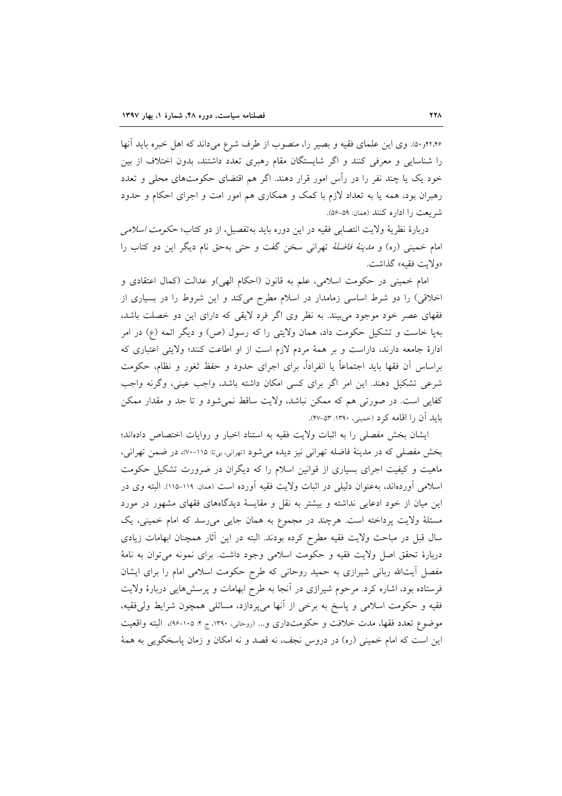۴۲٬۴۶(۵۰). وی این علمای فقیه و بصیر را، منصوب از طرف شرع میداند که اهل خبره باید آنها را شناسایی و معرفی کنند و اگر شایستگان مقام رهبری تعدد داشتند، بدون اختلاف از بین خود یک یا چند نفر را در رأس امور قرار دهند. اگر هم اقتضای حکومتهای محلی و تعدد رهبران بود، همه یا به تعداد لازم با کمک و همکاری هم امور امت و اجرای احکام و حدود شريعت را اداره كنند (همان: ۵۹-۵۶).

دربارهٔ نظریهٔ ولایت انتصابی فقیه در این دوره باید بهتفصیل، از دو کتاب؛ *حکومت اسلامی* امام خميني (ره) و *مدينهٔ فاضلهٔ* تهراني سخن گفت و حتى بهحق نام ديگر اين دو کتاب را «ولايت فقيه» گذاشت.

امام خمینی در حکومت اسلامی، علم به قانون (احکام الهی)و عدالت (کمال اعتقادی و اخلاقی) را دو شرط اساسی زمامدار در اسلام مطرح میکند و این شروط را در بسیاری از فقهای عصر خود موجود میبیند. به نظر وی اگر فرد لایقی که دارای این دو خصلت باشد، بهپا خاست و تشکیل حکومت داد، همان ولایتی را که رسول (ص) و دیگر ائمه (ع) در امر ادارهٔ جامعه دارند، داراست و بر همهٔ مردم لازم است از او اطاعت کنند؛ ولایتی اعتباری که براساس أن فقها بايد اجتماعاً يا انفراداً، براي اجراي حدود و حفظ ثغور و نظام، حكومت شرعی تشکیل دهند. این امر اگر برای کسی امکان داشته باشد، واجب عینی، وگرنه واجب كفايي است. در صورتي هم كه ممكن نباشد، ولايت ساقط نمي شود و تا حد و مقدار ممكن باید آن را اقامه کرد (خمینی، ۱۳۹۰: ۵۳-۴۷).

ایشان بخش مفصلی را به اثبات ولایت فقیه به استناد اخبار و روایات اختصاص دادهاند؛ بخش مفصلی که در مدینهٔ فاضله تهرانی نیز دیده می شود (تهرانی، بیتا: ۱۱۵-۷۰)، در ضمن تهرانی، ماهیت و کیفیت اجرای بسیاری از قوانین اسلام را که دیگران در ضرورت تشکیل حکومت اسلامی آوردهاند، بهعنوان دلیلی در اثبات ولایت فقیه آورده است (همان: ۱۱۹-۱۱۵). البته وی در این میان از خود ادعایی نداشته و بیشتر به نقل و مقایسهٔ دیدگاههای فقهای مشهور در مورد مسئلهٔ ولایت پرداخته است. هرچند در مجموع به همان جایی میرسد که امام خمینی، یک سال قبل در مباحث ولايت فقيه مطرح كرده بودند. البته در اين أثار همچنان ابهامات زيادي دربارهٔ تحقق اصل ولایت فقیه و حکومت اسلامی وجود داشت. برای نمونه می توان به نامهٔ مفصل آیتالله ربانی شیرازی به حمید روحانی که طرح حکومت اسلامی امام را برای ایشان فرستاده بود، اشاره کرد. مرحوم شیرازی در آنجا به طرح ابهامات و پرسشهایی دربارهٔ ولایت فقيه و حكومت اسلامي و ياسخ به برخي از أنها مي پردازد، مسائلي همچون شرايط ولي فقيه، موضوع تعدد فقها، مدت خلافت و حکومتداری و... (روحانی، ١٣٩٠، ج ۴: ١٠٥-٩۶)، البته واقعیت این است که امام خمینی (ره) در دروس نجف، نه قصد و نه امکان و زمان پاسخگویی به همهٔ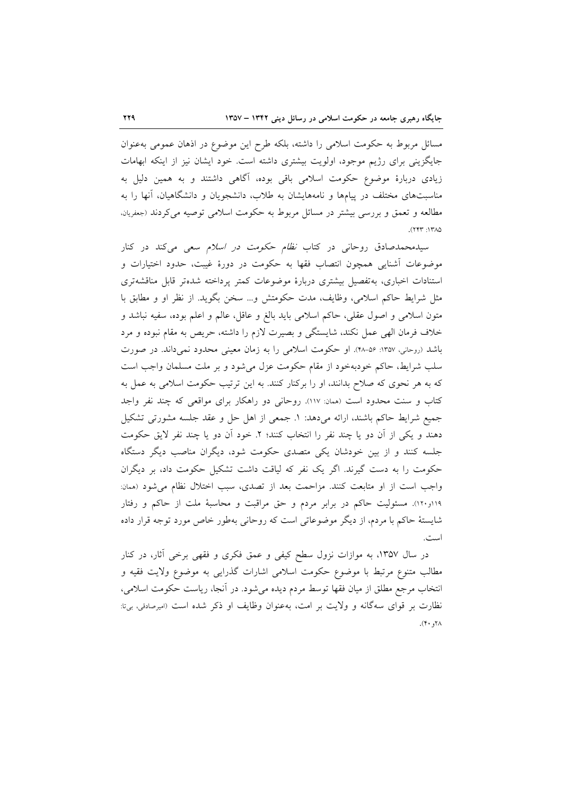مسائل مربوط به حکومت اسلامی را داشته، بلکه طرح این موضوع در اذهان عمومی بهعنوان جایگزینی برای رژیم موجود، اولویت بیشتری داشته است. خود ایشان نیز از اینکه ابهامات زیادی دربارهٔ موضوع حکومت اسلامی باقی بوده، آگاهی داشتند و به همین دلیل به مناسبتهای مختلف در پیامها و نامههایشان به طلاب، دانشجویان و دانشگاهیان، آنها را به مطالعه و تعمق و بررسی بیشتر در مسائل مربوط به حکومت اسلامی توصیه میکردند (جعفریان. ١٣٨٥: ٢٢٣).

سیدمحمدصادق روحانی در کتاب *نظام حکومت در اسلام سعی می کند* در کنار موضوعات آشنایی همچون انتصاب فقها به حکومت در دورهٔ غیبت، حدود اختیارات و استنادات اخبارى، به تفصيل بيشترى دربارة موضوعات كمتر پرداخته شدهتر قابل مناقشهترى مثل شرايط حاكم اسلامي، وظايف، مدت حكومتش و… سخن بگويد. از نظر او و مطابق با متون اسلامی و اصول عقلی، حاکم اسلامی باید بالغ و عاقل، عالم و اعلم بوده، سفیه نباشد و خلاف فرمان الهی عمل نکند، شایستگی و بصیرت لازم را داشته، حریص به مقام نبوده و مرد باشد (روحانی، ١٣٥٧: ٥۶-٢٨). او حکومت اسلامی را به زمان معینی محدود نمیداند. در صورت سلب شرایط، حاکم خودبهخود از مقام حکومت عزل می شود و بر ملت مسلمان واجب است که به هر نحوی که صلاح بدانند، او را برکنار کنند. به این ترتیب حکومت اسلامی به عمل به کتاب و سنت محدود است (همان: ١١٧). روحانی دو راهکار برای مواقعی که چند نفر واجد جميع شرايط حاكم باشند، ارائه مىدهد: ١. جمعى از اهل حل و عقد جلسه مشورتى تشكيل دهند و يكي از أن دو يا چند نفر را انتخاب كنند؛ ٢. خود أن دو يا چند نفر لايق حكومت جلسه کنند و از بین خودشان یکی متصدی حکومت شود، دیگران مناصب دیگر دستگاه حکومت را به دست گیرند. اگر یک نفر که لیاقت داشت تشکیل حکومت داد، بر دیگران واجب است از او متابعت كنند. مزاحمت بعد از تصدى، سبب اختلال نظام مى شود (ممان: ۱۱۹و۱۲۰). مسئولیت حاکم در برابر مردم و حق مراقبت و محاسبهٔ ملت از حاکم و رفتار شایستهٔ حاکم با مردم، از دیگر موضوعاتی است که روحانی بهطور خاص مورد توجه قرار داده است.

در سال ۱۳۵۷، به موازات نزول سطح کیفی و عمق فکری و فقهی برخی آثار، در کنار مطالب متنوع مرتبط با موضوع حکومت اسلامی اشارات گذرایی به موضوع ولایت فقیه و انتخاب مرجع مطلق از میان فقها توسط مردم دیده میشود. در أنجا، ریاست حکومت اسلامی، نظارت بر قواي سهگانه و ولايت بر امت، بهعنوان وظايف او ذكر شده است (اميرصادقي، بي¤:  $\Lambda$ 7,  $\cdot$  7).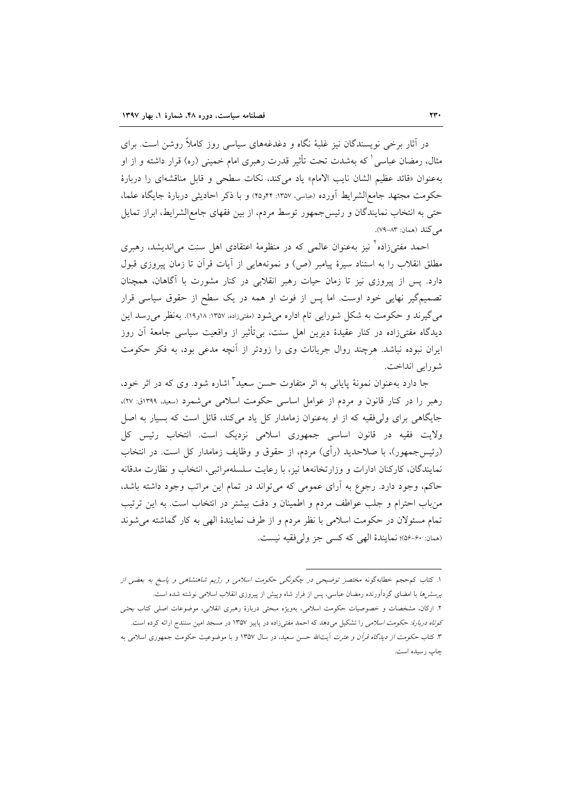در آثار برخی نویسندگان نیز غلبهٔ نگاه و دغدغههای سیاسی روز کاملاً روشن است. برای مثال، رمضان عباسی ْ که بهشدت تحت تأثیر قدرت رهبری امام خمینی (ره) قرار داشته و از او به عنوان «قائد عظيم الشان نايب الامام» ياد مي كند، نكات سطحى و قابل مناقشهاى را دربارة حكومت مجتهد جامع|لشرايط آورده (عباسي، ١٣۵٧: ٢٤و٢٤) و با ذكر احاديثي دربارهٔ جايگاه علما، حتی به انتخاب نمایندگان و رئیسجمهور توسط مردم، از بین فقهای جامع|لشرایط، ابراز تمایل مے کند (همان: ۸۳–۷۹).

احمد مفت<sub>م ن</sub>زاده<sup>۲</sup> نیز بهعنوان عالمی که در منظومهٔ اعتقادی اهل سنت میlندیشد، رهبری مطلق انقلاب را به استناد سیرهٔ پیامبر (ص) و نمونههایی از آیات قرآن تا زمان پیروزی قبول دارد. پس از پیروزی نیز تا زمان حیات رهبر انقلابی در کنار مشورت با آگاهان، همچنان تصمیمگیر نهایی خود اوست. اما پس از فوت او همه در یک سطح از حقوق سیاسی قرار می گیرند و حکومت به شکل شورایی تام اداره می شود (مفتیزاده، ۱۳۵۷: ۱۸و۱۹). به نظر می رسد این دیدگاه مفتیزاده در کنار عقیدهٔ دیرین اهل سنت، بی¤ثثیر از واقعیت سیاسی جامعهٔ آن روز ایران نبوده نباشد. هرچند روال جریانات وی را زودتر از آنچه مدعی بود، به فکر حکومت شورايي انداخت.

جا دارد بهعنوان نمونهٔ پایانی به اثر متفاوت حسن سعید ٔ اشاره شود. وی که در اثر خود، رهبر را در کنار قانون و مردم از عوامل اساسی حکومت اسلامی می شمرد (سعید، ۱۳۹۹ق: ۲۷)، جایگاهی برای ولی فقیه که از او به عنوان زمامدار کل یاد میکند، قائل است که بسیار به اصل ولایت فقیه در قانون اساسی جمهوری اسلامی نزدیک است. انتخاب رئیس کل (رئیسجمهور)، با صلاحدید (رأی) مردم، از حقوق و وظایف زمامدار کل است. در انتخاب نمايندگان، كاركنان ادارات و وزارتخانهها نيز، با رعايت سلسلهمراتبي، انتخاب و نظارت مدقانه حاکم، وجود دارد. رجوع به آرای عمومی که می تواند در تمام این مراتب وجود داشته باشد، من باب احترام و جلب عواطف مردم و اطمينان و دقت بيشتر در انتخاب است. به اين ترتيب تمام مسئولان در حکومت اسلامی با نظر مردم و از طرف نمایندهٔ الهی به کار گماشته می شوند (همان: ۶۰-۵۶)؛ نمايندهٔ الهي كه كسي جز ولي فقيه نيست.

۱. کتاب کم حجم خطابهگونه مختصر توضیحی در چگونگی حکومت اسلامی و رژیم شاهنشاهی و پاسخ به بعضی از پر*سش ها* با امضای گردآورنده رمضان عباسی، پس از فرار شاه وپیش از پیروزی انقلاب اسلامی نوشته شده است. ۲. ارکان، مشخصات و خصوصیات حکومت اسلامی، بهویژه مبحثی دربارهٔ رهبری انقلابی، موضوعات اصلی کتاب بحثی *کوتاه دربارهٔ: حکومت اسلامی را* تشکیل میدهد که احمد مفتیزاده در پاییز ۱۳۵۷ در مسجد امین سنندج ارائه کرده است. ۳. کتاب ح*کومت از دیدگاه قرآن و عترت* آیتالله حسن سعید، در سال ۱۳۵۷ و با موضوعیت حکومت جمهوری اسلامی به چاپ رسیده است.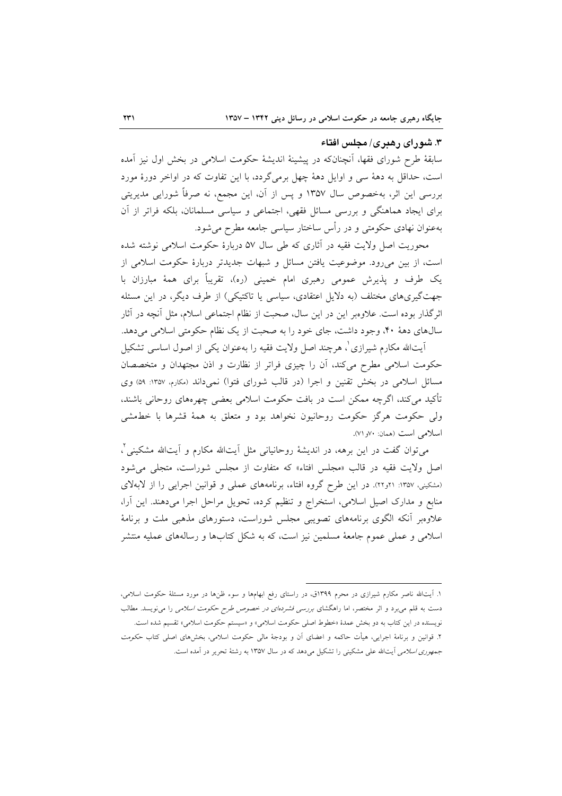# ۳. شورای رهبری/ مجلس افتاء

سابقهٔ طرح شورای فقها، آنچنانکه در پیشینهٔ اندیشهٔ حکومت اسلامی در بخش اول نیز آمده است، حداقل به دههٔ سی و اوایل دههٔ چهل برمیگردد، با این تفاوت که در اواخر دورهٔ مورد بررسی این اثر، بهخصوص سال ۱۳۵۷ و پس از آن، این مجمع، نه صرفاً شورایی مدیریتی برای ایجاد هماهنگی و بررسی مسائل فقهی، اجتماعی و سیاسی مسلمانان، بلکه فراتر از آن بهعنوان نهادی حکومتی و در رأس ساختار سیاسی جامعه مطرح میشود.

محوریت اصل ولایت فقیه در آثاری که طی سال ۵۷ دربارهٔ حکومت اسلامی نوشته شده است، از بین میرود. موضوعیت یافتن مسائل و شبهات جدیدتر دربارهٔ حکومت اسلامی از یک طرف و پذیرش عمومی رهبری امام خمینی (ره)، تقریباً برای همهٔ مبارزان با جهتگیریهای مختلف (به دلایل اعتقادی، سیاسی یا تاکتیکی) از طرف دیگر، در این مسئله اثرگذار بوده است. علاوهبر این در این سال، صحبت از نظام اجتماعی اسلام، مثل آنچه در آثار سالهای دههٔ ۴۰، وجود داشت، جای خود را به صحبت از یک نظام حکومتی اسلامی میدهد.

اّیتالله مکارم شیرازی'، هرچند اصل ولایت فقیه را بهعنوان یک<sub>ی</sub> از اصول اساسی تشکیل حکومت اسلامی مطرح میکند، آن را چیزی فراتر از نظارت و اذن مجتهدان و متخصصان مسائل اسلامی در بخش تقنین و اجرا (در قالب شورای فتوا) نمیداند (مکارم، ١٣٥٧: ٥٩) وی تأکید می کند، اگرچه ممکن است در بافت حکومت اسلامی بعضی چهرههای روحانی باشند. ولی حکومت هرگز حکومت روحانیون نخواهد بود و متعلق به همهٔ قشرها با خطمشی اسلامی است (همان: ۷۰و ۷۱).

میتوان گفت در این برهه، در اندیشهٔ روحانیانی مثل اَیتالله مکارم و اَیتالله مشکینی ٌ، اصل ولايت فقيه در قالب «مجلس افتاء» كه متفاوت از مجلس شوراست، متجلى مى شود (مشکینی، ۱۳۵۷: ۲۱و۲۲). در این طرح گروه افتاء، برنامههای عملی و قوانین اجرایی را از لابهلای منابع و مدارک اصیل اسلامی، استخراج و تنظیم کرده، تحویل مراحل اجرا میدهند. این آرا، علاوهبر أنکه الگوی برنامههای تصویبی مجلس شوراست، دستورهای مذهبی ملت و برنامهٔ اسلامی و عملی عموم جامعهٔ مسلمین نیز است، که به شکل کتابها و رسالههای عملیه منتشر

۱. آیتالله ناصر مکارم شیرازی در محرم ۱۳۹۹ق، در راستای رفع ابهامها و سوء ظنها در مورد مسئلهٔ حکومت اسلامی، دست به قلم میبرد و اثر مختصر، اما راهگشای *بررسی فشردهای در خصوص طرح حکومت اسلامی* را می نویسد. مطالب نویسنده در این کتاب به دو بخش عمدهٔ «خطوط اصلی حکومت اسلامی» و «سیستم حکومت اسلامی» تقسیم شده است. ۲. قوانین و برنامهٔ اجرایی، هیأت حاکمه و اعضای آن و بودجهٔ مالی حکومت اسلامی، بخشهای اصلی کتاب حکومت *جمهوری اسلامی* آیتالله علی مشکینی را تشکیل میدهد که در سال ۱۳۵۷ به رشتهٔ تحریر در آمده است.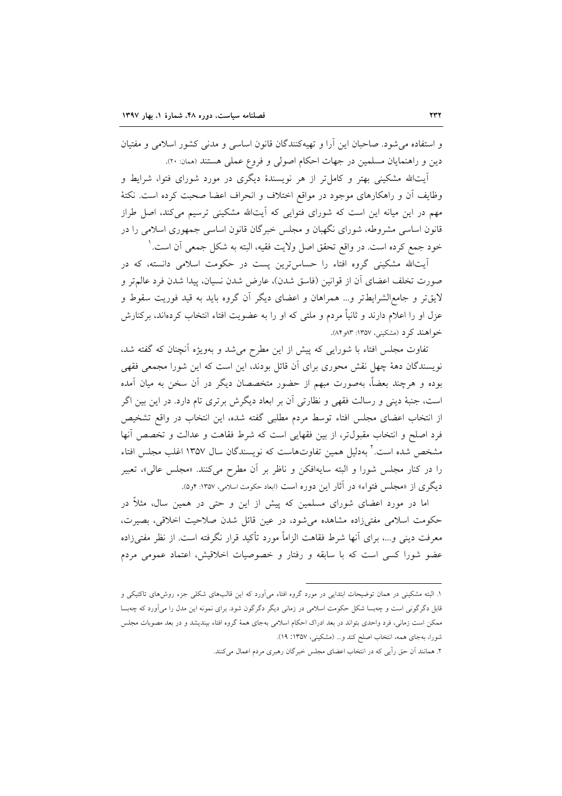و استفاده می شود. صاحبان این آرا و تهیهکنندگان قانون اساسی و مدنی کشور اسلامی و مفتیان دين و راهنمايان مسلمين در جهات احكام اصولي و فروع عملي هستند (ممان: ٢٠).

آیتالله مشکینی بهتر و کامل تر از هر نویسندهٔ دیگری در مورد شورای فتوا، شرایط و وظایف اَن و راهکارهای موجود در مواقع اختلاف و انحراف اعضا صحبت کرده است. نکتهٔ مهم در این میانه این است که شورای فتوایی که آیتالله مشکینی ترسیم میکند، اصل طراز قانون اساسی مشروطه، شورای نگهبان و مجلس خبرگان قانون اساسی جمهوری اسلامی را در خود جمع كرده است. در واقع تحقق اصل ولايت فقيه، البته به شكل جمعي أن است. '

اَیتالله مشکینی گروه افتاء را حساس<mark>ترین پست در حکومت اسلامی دانسته، که د</mark>ر صورت تخلف اعضای آن از قوانین (فاسق شدن)، عارض شدن نسیان، پیدا شدن فرد عالم تر و لایقتر و جامع|لشرایطتر و… همراهان و اعضای دیگر آن گروه باید به قید فوریت سقوط و عزل او را اعلام دارند و ثانیاً مردم و ملتبی که او را به عضویت افتاء انتخاب کردهاند، برکنارش خواهند کرد (مشکینی، ۱۳۵۷: ۸۴و۸۴).

تفاوت مجلس افتاء با شورایی که پیش از این مطرح می شد و بهویژه آنچنان که گفته شد، نویسندگان دههٔ چهل نقش محوری برای آن قائل بودند، این است که این شورا مجمعی فقهی بوده و هرچند بعضاً، بهصورت مبهم از حضور متخصصان دیگر در آن سخن به میان آمده است، جنبهٔ دینی و رسالت فقهی و نظارتی آن بر ابعاد دیگرش برتری تام دارد. در این بین اگر از انتخاب اعضای مجلس افتاء توسط مردم مطلبی گفته شده، این انتخاب در واقع تشخیص فرد اصلح و انتخاب مقبول تر، از بين فقهايي است كه شرط فقاهت و عدالت و تخصص أنها مشخص شده است.<sup>۲</sup> بهدلیل همین تفاوتهاست که نویسندگان سال ۱۳۵۷ اغلب مجلس افتاء را در کنار مجلس شورا و البته سایهافکن و ناظر بر آن مطرح میکنند. «مجلس عالی»، تعبیر دیگری از «مجلس فتواء» در آثار این دوره است (ابعاد حکومت اسلامی، ۱۳۵۷: ۴و۵).

اما در مورد اعضای شورای مسلمین که پیش از این و حتی در همین سال، مثلاً در حکومت اسلامی مفتیزاده مشاهده میشود، در عین قائل شدن صلاحیت اخلاقی، بصیرت، معرفت ديني و…، براي آنها شرط فقاهت الزاماً مورد تأكيد قرار نگرفته است. از نظر مفتىزاده عضو شورا کسی است که با سابقه و رفتار و خصوصیات اخلاقیش، اعتماد عمومی مردم

۱. البته مشکینی در همان توضیحات ابتدایی در مورد گروه افتاء میآورد که این قالبهای شکلی جزء روش(های تاکتیکی و قابل دگرگونی است و چهبسا شکل حکومت اسلامی در زمانی دیگر دگرگون شود. برای نمونه این مدل را میآورد که چهبسا ممکن است زمانی، فرد واحدی بتواند در بعد ادراک احکام اسلامی بهجای همهٔ گروه افتاء بیندیشد و در بعد مصوبات مجلس شورا، بهجای همه، انتخاب اصلح کند و… (مشکینی، ۱۳۵۷: ۱۹).

۲. همانند آن حق رأیی که در انتخاب اعضای مجلس خبرگان رهبری مردم اعمال میکنند.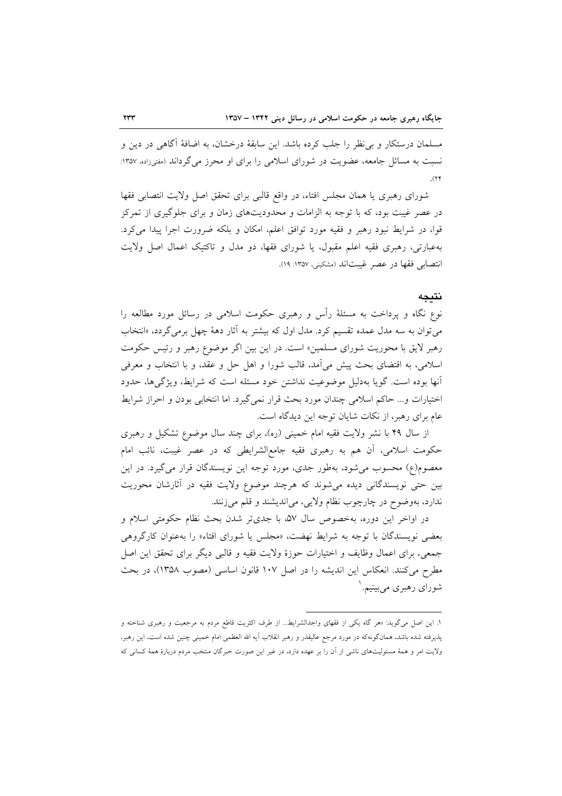مسلمان درستکار و بی نظر را جلب کرده باشد. این سابقهٔ درخشان، به اضافهٔ آگاهی در دین و نسبت به مسائل جامعه، عضویت در شورای اسلامی را برای او محرز می گرداند (مفتیزاده، ۱۳۵۷:  $(1)$ 

شورای رهبری یا همان مجلس افتاء، در واقع قالبی برای تحقق اصل ولایت انتصابی فقها در عصر غیبت بود، که با توجه به الزامات و محدودیتهای زمان و برای جلوگیری از تمرکز قوا، در شرایط نبود رهبر و فقیه مورد توافق اعلم، امکان و بلکه ضرورت اجرا پیدا می کرد. بهعبارتی، رهبری فقیه اعلم مقبول، یا شورای فقها، دو مدل و تاکتیک اعمال اصل ولایت انتصابي فقها در عصر غيبتاند (مشكيني، ١٣٥٧: ١٩).

### نتىحە

نوع نگاه و پرداخت به مسئلهٔ رأس و رهبری حکومت اسلامی در رسائل مورد مطالعه را می توان به سه مدل عمده تقسیم کرد. مدل اول که بیشتر به آثار دههٔ چهل برمی گردد، «انتخاب رهبر لایق با محوریت شورای مسلمین» است. در این بین اگر موضوع رهبر و رئیس حکومت اسلامی، به اقتضای بحث پیش میآمد، قالب شورا و اهل حل و عقد، و با انتخاب و معرفی آنها بوده است. گویا بهدلیل موضوعیت نداشتن خود مسئله است که شرایط، ویژگیها، حدود اختيارات و... حاكم اسلامي چندان مورد بحث قرار نمي گيرد. اما انتخابي بودن و احراز شرايط عام برای رهبر، از نکات شایان توجه این دیدگاه است.

از سال ۴۹ با نشر ولایت فقیه امام خمینی (ره)، برای چند سال موضوع تشکیل و رهبری حکومت اسلامی، آن هم به رهبری فقیه جامع|لشرایطی که در عصر غیبت، نائب امام معصوم(ع) محسوب میشود، بهطور جدی، مورد توجه این نویسندگان قرار میگیرد. در این بین حتبی نویسندگانی دیده میشوند که هرچند موضوع ولایت فقیه در آثارشان محوریت ندارد، بهوضوح در چارچوب نظام ولايي، مي انديشند و قلم مي زنند.

در اواخر این دوره، بهخصوص سال ۵۷، با جدیتر شدن بحث نظام حکومتی اسلام و بعضی نویسندگان با توجه به شرایط نهضت، «مجلس یا شورای افتاء» را بهعنوان کارگروهی جمعي، براي اعمال وظايف و اختيارات حوزهٔ ولايت فقيه و قالبي ديگر براي تحقق اين اصل مطرح می کنند. انعکاس این اندیشه را در اصل ۱۰۷ قانون اساسی (مصوب ۱۳۵۸)، در بحث شورای رهبری می بینیم. '

۱. این اصل میگوید: «هر گاه یکی از فقهای واجدالشرایط… از طرف اکثریت قاطع مردم به مرجعیت و رهبری شناخته و پذیرفته شده باشد، همانگونهکه در مورد مرجع عالیقدر و رهبر انقلاب آیه الله العظمی امام خمینی چنین شده است، این رهبر، ولایت امر و همهٔ مسئولیتهای ناشی از آن را بر عهده دارد، در غیر این صورت خبرگان منتخب مردم دربارهٔ همهٔ کسانی که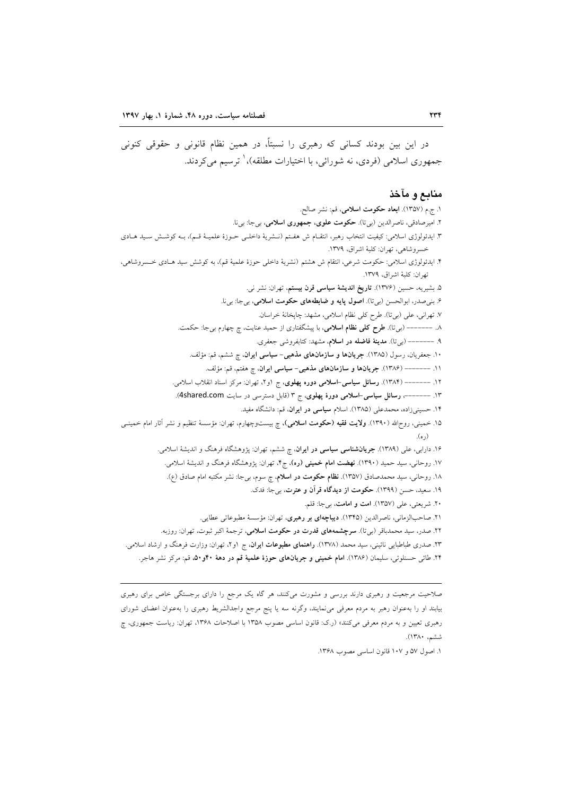در این بین بودند کسانی که رهبری را نسبتاً، در همین نظام قانونی و حقوقی کنونی جمهوري اسلامي (فردي، نه شورائي، با اختيارات مطلقه)، ٰ ترسيم مي کردند.

### منابع و مآخذ

١. ج.م (١٣٥٧). ابعاد حكومت اسلامي، قم: نشر صالح. ۲. امیرصادقی، ناصرالدین (بیتا). <mark>حکومت علوی، جمهوری اسلامی</mark>، بیجا: بیi. ٣. ايدئولوژي اسلامي: كيفيت انتخاب رهبر، انتقــام ش هفــتم (نــشريهٔ داخلــي حــوزهٔ علميــهٔ قــم)، بــه كوشــش ســيد هــادي خسروشاهي، تهران: كلبة اشراق، ١٣٧٩. ۴. ایدئولوژی اسلامی: حکومت شرعی، انتقام ش هشتم (نشریهٔ داخلی حوزهٔ علمیهٔ قم)، به کوشش سید هـادی خـسـروشاهی، تهران: كلبة اشراق، ١٣٧٩. ۵. بشیریه، حسین (۱۳۷۶). **تاریخ اندیشهٔ سیاسی قرن بیستم**، تهران: نشر نی. ۶. بني صدر، ابوالحسن (بيتا). اصول پايه و ضابطههاي حكومت اسلامي، بيجا: بيi. ٧. تهراني، على (بي تا). طرح كلي نظام اسلامي، مشهد: چاپخانهٔ خراسان. ۸. ------- (بیتا). طرح کلی نظام اسلامی، با پیشگفتاری از حمید عنایت، چ چهارم بیجا: حکمت. ۹. ------- (برتا). مدینهٔ فاضله در اسلام، مشهد: کتابفروشی جعفری. ۱۰. جعفریان، رسول (۱۳۸۵). جریانها و سازمانهای مذهبی- سیاسی ایران، چ ششم، قم: مؤلف. ١١. ------- (١٣٨۶). جريانها و سازمانهاي مذهبي- سياسي ايران، ج هفتم، قم: مؤلف. ۱۲. ------- (۱۳۸۴). **رسائل سیاسی-اسلامی دوره پهلوی**، ج او۲، تهران: مرکز اسناد انقلاب اسلامی. ۱۳. -------، رسائل سیاسی-اسلامی دورهٔ پهلوی، ج ۳ (قابل دسترسی در سایت 4shared.com). ۱۴. حسینیزاده، محمدعلی (۱۳۸۵). اسلام **سیاسی در ایران**، قم: دانشگاه مفید. ۱۵. خمینی، روحالله (۱۳۹۰). **ولایت فقیه (حکومت اسلامی)**، چ بیستوچهارم، تهران: مؤسسهٔ تنظیم و نشر آثار امام خمینــی (ره). ۱۶. دارابی، علی (۱۳۸۹). **جریانشناسی سیاسی در ایران**، چ ششم، تهران: پژوهشگاه فرهنگ و اندیشهٔ اسلامی. ۱۷. روحانی، سید حمید (۱۳۹۰). **نهضت امام خمینی (ره)**، ج۴، تهران: پژوهشگاه فرهنگ و اندیشهٔ اسلامی. ١٨. روحاني، سيد محمدصادق (١٣٥٧). نظام حكومت در اسلام، چ سوم، بي جا: نشر مكتبه امام صادق (ع). ١٩. سعيد، حسن (١٣٩٩). حكومت از ديدگاه قرآن و عترت، بيجا: فدك. ٢٠. شريعتي، على (١٣٥٧). امت و امامت، بيجا: قلم. ۲۱. صاحبالزمانی، ناصرالدین (۱۳۴۵). **دیباچهای بر رهبری**، تهران: مؤسسهٔ مطبوعاتی عطایی. ۲۲. صدر، سید محمدباقر (بیتا). **سرچشمههای قدرت در حکومت اسلامی**، ترجمهٔ اکبر ثبوت، تهران: روزبه. ۲۳. صدری طباطبایی نائینی، سید محمد (۱۳۷۸). **راهنمای مطبوعات ایران**، ج ۱و۲، تهران: وزارت فرهنگ و ارشاد اسلامی. ۲۴. طائ<sub>ی</sub> حسنلوئی، سلیمان (۱۳۸۶). ام**ام خمینی و جریانهای حوزهٔ علمیهٔ قم در دههٔ ۴۰و۵۰،** قم: مرکز نشر هاجر.

صلاحیت مرجعیت و رهبری دارند بررسی و مشورت میکنند، هر گاه یک مرجع را دارای برجستگی خاص برای رهبری بیابند او را بهعنوان رهبر به مردم معرفی می(مایند، وگرنه سه یا پنج مرجع واجدالشریط رهبری را بهعنوان اعضای شورای رهبری تعیین و به مردم معرفی میکنند» (ر.ک: قانون اساسی مصوب ۱۳۵۸ با اصلاحات ۱۳۶۸، تهران: ریاست جمهوری، چ ششم، ١٣٨٠).

١. اصول ٥٧ و ١٠٧ قانون اساسي مصوب ١٣۶٨.